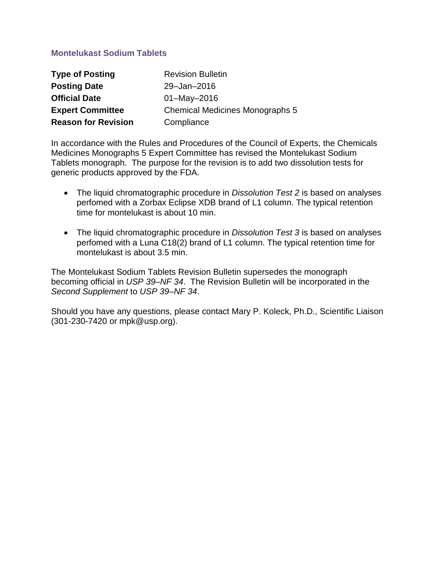## **Montelukast Sodium Tablets**

| <b>Type of Posting</b>     | <b>Revision Bulletin</b>               |
|----------------------------|----------------------------------------|
| <b>Posting Date</b>        | 29-Jan-2016                            |
| <b>Official Date</b>       | $01 - May - 2016$                      |
| <b>Expert Committee</b>    | <b>Chemical Medicines Monographs 5</b> |
| <b>Reason for Revision</b> | Compliance                             |

In accordance with the Rules and Procedures of the Council of Experts, the Chemicals Medicines Monographs 5 Expert Committee has revised the Montelukast Sodium Tablets monograph. The purpose for the revision is to add two dissolution tests for generic products approved by the FDA.

- The liquid chromatographic procedure in *Dissolution Test 2* is based on analyses perfomed with a Zorbax Eclipse XDB brand of L1 column. The typical retention time for montelukast is about 10 min.
- The liquid chromatographic procedure in *Dissolution Test 3* is based on analyses perfomed with a Luna C18(2) brand of L1 column. The typical retention time for montelukast is about 3.5 min.

The Montelukast Sodium Tablets Revision Bulletin supersedes the monograph becoming official in *USP 39–NF 34*. The Revision Bulletin will be incorporated in the *Second Supplement* to *USP 39–NF 34*.

Should you have any questions, please contact Mary P. Koleck, Ph.D., Scientific Liaison (301-230-7420 or mpk@usp.org).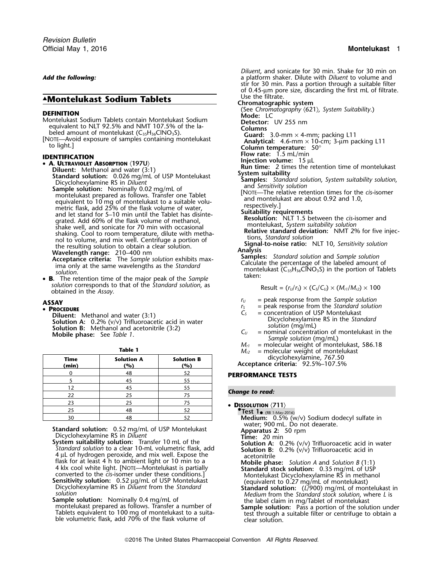# ▲ Use the filtrate. **.Montelukast Sodium Tablets Chromatographic system**

- 
- 

montelukast prepared as follows. Transfer one Tablet<br>equivalent to 10 mg of montelukast to a suitable volu-<br>metric flask, add 25% of the flask volume of water,<br>respectively.]<br>expectively.

 **B.** The retention time of the major peak of the *Sample* solution corresponds to that of the *Standard solution*, as<br>
obtained in the Assay.<br>  $\text{Result} = (r_U/r_S) \times (C_S/C_U) \times (M_{rI}/M_{r2}) \times 100$ 

**Diluent:** Methanol and water (3:1)<br> **Solution A:** 0.2% (v/v) Trifluoroacetic acid in water<br> **Solution B:** Methanol and acetonitrile (3:2)<br> **C**<sub>U</sub> = concentration of DSP Montelukast in Solution B: Methanol and acetonitril

| Time<br>(min) | <b>Solution A</b><br>(%) | <b>Solution B</b><br>(%) | $m_{\ell}$ = morecally velocity of morecally<br>dicyclohexylamine, 767.50<br>Acceptance criteria: 92.5%-107.5% |
|---------------|--------------------------|--------------------------|----------------------------------------------------------------------------------------------------------------|
|               | 48                       |                          | <b>PERFORMANCE TESTS</b>                                                                                       |
|               |                          |                          |                                                                                                                |
|               |                          |                          |                                                                                                                |
| 22            |                          |                          | <b>Change to read:</b>                                                                                         |
| 23            |                          | 75                       | • DISSOLUTION $\langle 711 \rangle$                                                                            |
| 25            | 48                       | 52                       | $\bullet$ Test 1 $\bullet$ (RB 1-May-2016)                                                                     |
| 30            | 48                       |                          | Medium: 0.5% (w/v) Sodium dodecyl sulfate in                                                                   |

**Standard solution:** 0.52 mg/mL of USP Montelukast **Apparatus 2:** 50 rpm Dicyclohexylamine RS in *Diluent* **Time:** 20 min

**System suitability solution:** Transfer 10 mL of the **Standard solution to a clear 10-mL** volumetric flask, add  $4 \mu$ L of hydrogen peroxide, and mix well. Expose the flask for at least  $4$  h to ambient light or 10 min to a The set of at least 4 h to ambient light or 10 min to a<br>
4 klx cool white light. [NOTE—Montelukast is partially<br>
Standard stock solution: 0.35 mg/mL of USP<br>
Sensitivity solution: 0.52 ug/mL of USP Montelukast<br>
Sensitivity

**Sample solution:** Nominally 0.4 mg/mL of the label claim in mg/Tablet of montelukast montelukast montelukast montelukast montelukast montelukast montelukast montelukast montelukast montelukast montelukast montelukast mont

*Diluent*, and sonicate for 30 min. Shake for 30 min on **Add the following:** a platform shaker. Dilute with *Diluent* to volume and stir for 30 min. Pass a portion through a suitable filter of 0.45-µm pore size, discarding the first mL of filtrate.<br>Use the filtrate. **DEFINITION**<br> **DEFINITION**<br>
Mometukast Sodium Tablets contain Montelukast Sodium<br>
Petector: UV 255 nm<br>
Petector: UV 255 nm<br>
Columns equivalent to NLI 92.5% and NMT 107.5% of the la-<br>beled amount of montelukast (C<sub>35</sub>H<sub>36</sub>ClNO<sub>3</sub>S).<br>[NOTE—Avoid exposure of samples containing montelukast **Canallysis of the Column and Column** and Analytical: 4.6-mm × 10-c **FIGURE FROM FIGURE TO THE SET OF THE SET OF THE SET OF THE SET OF THE SET OF THE SET OF THE SET OF THE SET OF T<br>
<b>FIGURE A SULTRAVIOLET ABSORPTION** (197U)<br> **IDENTIFICATION IN IDENTIFICATION ISSUE OF THE SET OF THE S** Diluent: Methanol and water (3:1)<br> **Standard solution:** 0.026 mg/mL of USP Montelukast<br>
Dicyclohexylamine RS in *Diluent*<br>
Samples: Standard solution, System suitability solution,<br>
Samples: Standard solution, System suitab explanation of the flask volume of water,<br>and let stand for 5–10 min until the Tablet has disinte-<br>grated. Add 60% of the flask volume of methanol,<br>shake well, and sonicate for 70 min with occasional<br>shaking. Cool to room the resulting solution to obtain a clear solution.<br> **Wavelength range:** 210–400 nm<br> **Analysis**<br> **Analysis**<br> **Analysis**<br> **Analysis**<br> **Analysis**<br> **Analysis**<br> **Analysis**<br> **Samples:** Standard solution and Sample solution<br>
ima **ASSAY** *r* $V =$  peak response from the *Sample solution* **ASSAY** 

- 
- **PROCEDURE**<br> **PROCEDURE**<br> **PROCEDURE**<br>
C<sub>S</sub> = concentration of USP Montelukast
	- $C_U$  = nominal concentration of montelukast in the *Sample solution* (mg/mL)<br>  $M_{rI}$  = molecular weight of montelukast, 586.18
	- **Table 1 Table 1** *M***<sub>***r2***</sub>** = molecular weight of montelukast
		- **Time Solution A Solution B** dicyclohexylamine, 767.50 **(min) (%) (%) Acceptance criteria:** 92.5%–107.5%

### **Change to read:**

- **DISSOLUTION**  $\langle 711 \rangle$ 
	- water; 900 mL. Do not deaerate.

**Solution A:** 0.2% (v/v) Trifluoroacetic acid in water<br>**Solution B:** 0.2% (v/v) Trifluoroacetic acid in<br>acetonitrile

- 
- 
- montelukast prepared as follows. Iransfer a number of **Sample solution:** Pass a portion of the solution under Tablets equivalent to 100 mg of montelukast to a suita-<br>Tablets equivalent to 100 mg of montelukast to a suita-<br>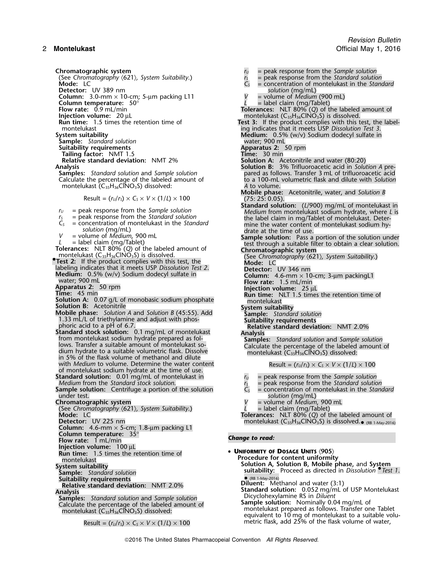(See Chromatography *〈621〉, System Suitability.*)<br>**Mode:** LC

**Column:** 3.0-mm × 10-cm; 5-µm packing L11 *V* = volume of *Medium* (900 mL)

**Tailing factor: NMT 1.5<br><b>Relative standard deviation: NMT 2%** 

montelukast (C<sub>35</sub>H<sub>36</sub>ClNO<sub>3</sub>S) dissolved:

$$
Result = (r_U/r_S) \times C_S \times V \times (1/L) \times 100
$$

- 
- $C_5$  = concentration of montelukast in the *Standard* mine the water content solution (mg/mL) drate at the time of use.<br>  $V$  = volume of *Medium*, 900 mL **Sample solution**: Pass a
- 

- **Test 2:** If the product complies with this test, the **Mode:** LC **Mode:** LC **Mode:** LC **Interpretent** labeling indicates that it meets USP *Dissolution Test 2*. Detector: UV 346 nm labeling indicates that it meets USP *Dissolution Test 2*.<br>**Medium:** 0.5% (w/v) Sodium dodecyl sulfate in
- 
- 

**Solution A:** 0.07 g/L of monobasic sodium phosphate **montelukast** 

**Solution B:** Acetonitrile **System suitability Mobile phase:** *Solution A* and *Solution B* (45:55). Add **Sample:** *Standard solution* **1.33 mL/L of triethylamine and Solution B (45:55). Add Sample:** Standard solution **1.33 mL/L of triethylamine and adjust with phos- Suitability requirements**<br>phoric acid to a pH of 6.7.

**Analysis**<br>
from montelukast sodium hydrate prepared as fol-<br>
lows. Transfer a suitable amount of montelukast so-<br>
dium hydrate to a suitable volumetric flask. Dissolve<br>
in 5% of the flask volume of methanol and dilute<br>
in with *Medium* to volume. Determine the water content Result =  $(r<sub>U</sub>/r<sub>S</sub>) \times C<sub>S</sub> \times V \times (1/L) \times 100$ of montelukast sodium hydrate at the time of use.

- 
- **Sample solution:** Centrifuge a portion of the solution under test. under test.<br> **Chromatographic system**<br> **Chromatographic system**<br> **Chromatographic system**<br> **Chromatographic system**

(See Chromatography 〈621〉*, System Suitability*.)<br>**Mode:** LC

**Column:** 4.6-mm × 5-cm; 1.8-µm packing L1

**Column temperature:** 35° *Change to read:* **Flow rate:**<sup>1</sup> mL/min

**Injection volume:** 100 µL<br>**Run time:** 1.5 times the retention time of

**Sample: Standard solution<br>
<b>Suitability requirements**<br> **Relative standard deviation: NMT 2.0%** 

Result =  $(r_u/r_s) \times C_s \times V \times (1/L) \times 100$  metric flask, add 25% of the flask volume of water,

**Chromatographic system**<br>
(See Chromatography  $\langle 621 \rangle$ , System Suitability.)<br> **Computer in the** *Standard solution*<br> **Computer in the Standard solutic Rode:**<br> **Computer in the Standard solutic Rode:**<br> **Computer in the St** = peak response from the *Standard solution*<br>= concentration of montelukast in the *Standard solution* (mg/mL)<br>= volume of *Medium* (900 mL) **Detector:** UV 389 nm *solution* (mg/mL) **Column temperature:**  $50^{\circ}$  **Column temperature:**  $50^{\circ}$  **Column temperature:**  $50^{\circ}$  **Column in temperature:**  $\frac{L}{2}$  = label claim (mg/Tablet) **Flow rate:** 0.9 mL/min **Flow rate:** 0.9 mL/min **Tolerances:** NLT 80% (*Q*) of the labeled amount of **Injection volume:** 20 µL montelukast (C35H36ClNO3S) is dissolved. **Run time:** 1.5 times the retention time of **Test 3:** If the product complies with this test, the label-<br>1.5 montelukast indicates that it meets USP Dissolution Test 3. montelukast **ing indicates that it meets USP** *Dissolution Test 3*.<br>**Medium:** 0.5% (w/v) Sodium dodecyl sulfate in **Medium:** 0.5% (w/v) Sodium dodecyl sulfate in water; 900 mL **Sample:** *Standard solution* water; 900 mL **Suitability requirements**<br> **Apparatus 2:** 50 min Time: 30 min Time: 30 min **Relative standard deviation:** NMT 2% **Solution A:** Acetonitrile and water (80:20)<br>**Solution B:** 3% Trifluoroacetic acid in Solu **Analysis Solution B:** 3% Trifluoroacetic acid in *Solution A* pre-**Samples:** *Standard solution* and *Sample solution* pared as follows. Transfer 3 mL of trifluoroacetic acid Calculate the percentage of the labeled amount of the standard to a 100-mL volumetric flask and dilute with *Solu* to a 100-mL volumetric flask and dilute with *Solution*<br>A to volume. **Mobile phase:** Acetonitrile, water, and *Solution B* Result = (*<sup>r</sup>U*/*<sup>r</sup>S*) <sup>×</sup> *<sup>C</sup><sup>S</sup>* <sup>×</sup> *<sup>V</sup>* <sup>×</sup> (1/*L*) ×<sup>100</sup> (75: 25: 0.05). **Standard solution:** (*L*/900) mg/mL of montelukast in *r*<sub>*U*</sub> = peak response from the *Sample solution Medium* from montelukast sodium hydrate, where *L* is <br>*r*<sub>S</sub> = peak response from the *Standard solution* **by** the label claim in mo/Tablet of montelukast. Deter $r_s$  = peak response from the *Standard solution* the label claim in mg/Tablet of montelukast. Deter-<br> $C_s$  = concentration of montelukast in the *Standard* entired the water content of montelukast sodium hy-*V* = volume of *Medium*, 900 mL<br> *L* = label claim (mg/Tablet)<br> **Sample solution:** Pass a portion of the solution under<br> **Columnces:** NLT 80% (Q) of the labeled amount of<br> **Columnce is through a suitable filter to obtain Medium:** 0.5% (w/v) Sodium dodecyl sulfate in **Column:** 4.6-mm × 10-cm; 3-µm packingL1 water; 900 mL **Flow rate:** 1.5 mL/min **Apparatus 2:** 50 rpm **Injection volume:**<sup>25</sup> <sup>µ</sup><sup>L</sup> **Time:** 45 min **Run time:** NLT 1.5 times the retention time of phoric acid to a pH of 6.7.<br>**Standard stock solution:** 0.1 mg/mL of montelukast **Relative standard deviation:** NMT 2.0% **Standard solution:** 0.01 mg/mL of montelukast in *r*<sub>*U*</sub> = peak response from the *Sample solution r*<sub>S</sub> = peak response from the *Standard solution r*<sub>S</sub> = peak response from the *Standard solution Mediumiers = peak response from the Standard solution*<br>*C<sub>s</sub>* = concentration of montelukast in the *Standard* 

- 
- = volume of *Medium*, 900 mL<br>= label claim (mg/Tablet)
- 

**Mode:** LC **Tolerances:** NLT 80% (*Q*) of the labeled amount of **Detector:** UV 225 nm montelukast (C35H36ClNO3S) is dissolved.• (RB 1-May-2016)

**• UNIFORMITY OF DOSAGE UNITS**  $\langle 905 \rangle$ montelukast **Procedure for content uniformity System suitability Solution A, Solution B, Mobile phase,** and **System suitability:** Proceed as directed in *Dissolution •Test 1*. **Diluent:** Methanol and water (3:1) Analysis<br>Analysis<br>**Standard solution Standard Solution:**<br>**Standard Solution Standard Solution**<br>**Standard Solution Standard Solution**<br>**Dicyclohexylamine RS in Diluent** Dicyclohexylamine RS in *Diluent* **Samples:** *Standard solution* and *Sample solution* Calculate the percentage of the labeled amount of **Sample solution:** Nominally 0.04 mg/mL of calculate the percentage of the labeled amount of controller and contell and the centage of cental of cental of cental of cental equivalent to 10 mg of montelukast to a suitable volu